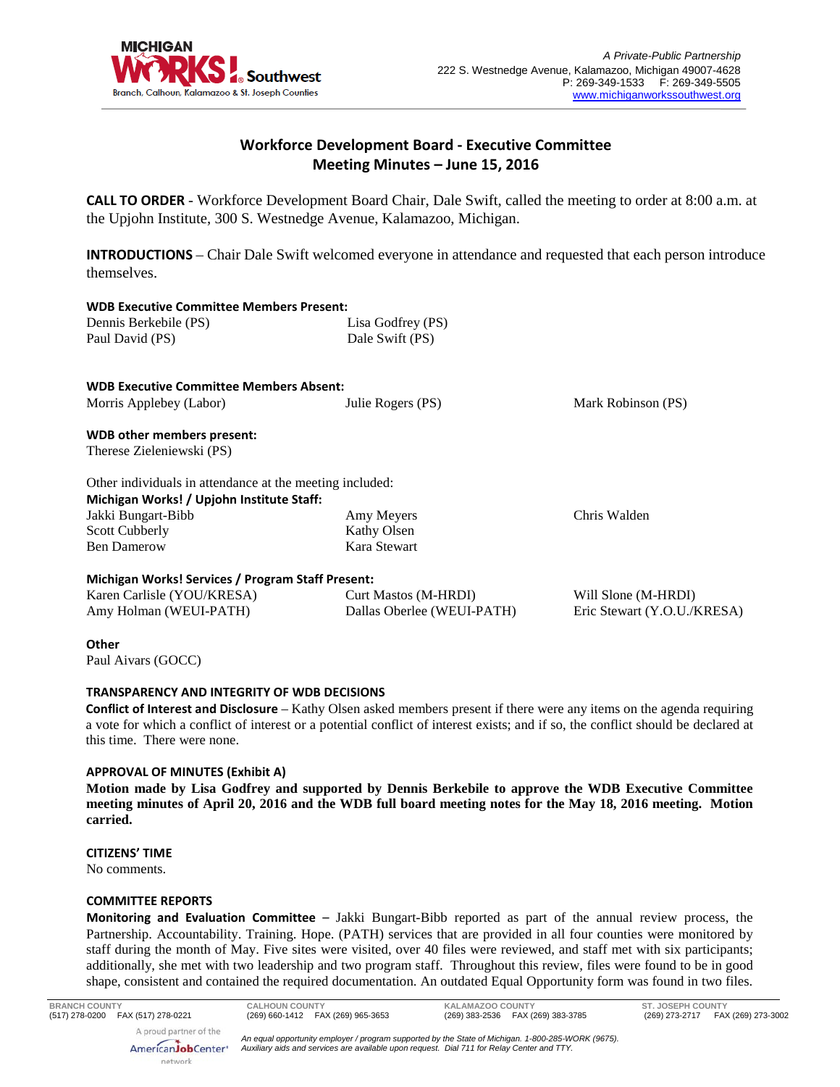

# **Workforce Development Board - Executive Committee Meeting Minutes – June 15, 2016**

**CALL TO ORDER** - Workforce Development Board Chair, Dale Swift, called the meeting to order at 8:00 a.m. at the Upjohn Institute, 300 S. Westnedge Avenue, Kalamazoo, Michigan.

**INTRODUCTIONS** – Chair Dale Swift welcomed everyone in attendance and requested that each person introduce themselves.

| <b>WDB Executive Committee Members Present:</b>          |                            |                             |
|----------------------------------------------------------|----------------------------|-----------------------------|
| Dennis Berkebile (PS)                                    | Lisa Godfrey (PS)          |                             |
| Paul David (PS)                                          | Dale Swift (PS)            |                             |
| <b>WDB Executive Committee Members Absent:</b>           |                            |                             |
| Morris Applebey (Labor)                                  | Julie Rogers (PS)          | Mark Robinson (PS)          |
| WDB other members present:                               |                            |                             |
| Therese Zieleniewski (PS)                                |                            |                             |
| Other individuals in attendance at the meeting included: |                            |                             |
| Michigan Works! / Upjohn Institute Staff:                |                            |                             |
| Jakki Bungart-Bibb                                       | Amy Meyers                 | Chris Walden                |
| <b>Scott Cubberly</b>                                    | Kathy Olsen                |                             |
| <b>Ben Damerow</b>                                       | Kara Stewart               |                             |
| Michigan Works! Services / Program Staff Present:        |                            |                             |
| Karen Carlisle (YOU/KRESA)                               | Curt Mastos (M-HRDI)       | Will Slone (M-HRDI)         |
| Amy Holman (WEUI-PATH)                                   | Dallas Oberlee (WEUI-PATH) | Eric Stewart (Y.O.U./KRESA) |
| <b>Other</b>                                             |                            |                             |
|                                                          |                            |                             |

Paul Aivars (GOCC)

# **TRANSPARENCY AND INTEGRITY OF WDB DECISIONS**

**Conflict of Interest and Disclosure** – Kathy Olsen asked members present if there were any items on the agenda requiring a vote for which a conflict of interest or a potential conflict of interest exists; and if so, the conflict should be declared at this time. There were none.

# **APPROVAL OF MINUTES (Exhibit A)**

**Motion made by Lisa Godfrey and supported by Dennis Berkebile to approve the WDB Executive Committee meeting minutes of April 20, 2016 and the WDB full board meeting notes for the May 18, 2016 meeting. Motion carried.**

# **CITIZENS' TIME**

No comments.

# **COMMITTEE REPORTS**

**Monitoring and Evaluation Committee** – Jakki Bungart-Bibb reported as part of the annual review process, the Partnership. Accountability. Training. Hope. (PATH) services that are provided in all four counties were monitored by staff during the month of May. Five sites were visited, over 40 files were reviewed, and staff met with six participants; additionally, she met with two leadership and two program staff. Throughout this review, files were found to be in good shape, consistent and contained the required documentation. An outdated Equal Opportunity form was found in two files.

network

*An equal opportunity employer / program supported by the State of Michigan. 1-800-285-WORK (9675). Auxiliary aids and services are available upon request. Dial 711 for Relay Center and TTY.* AmericanJobCenter\*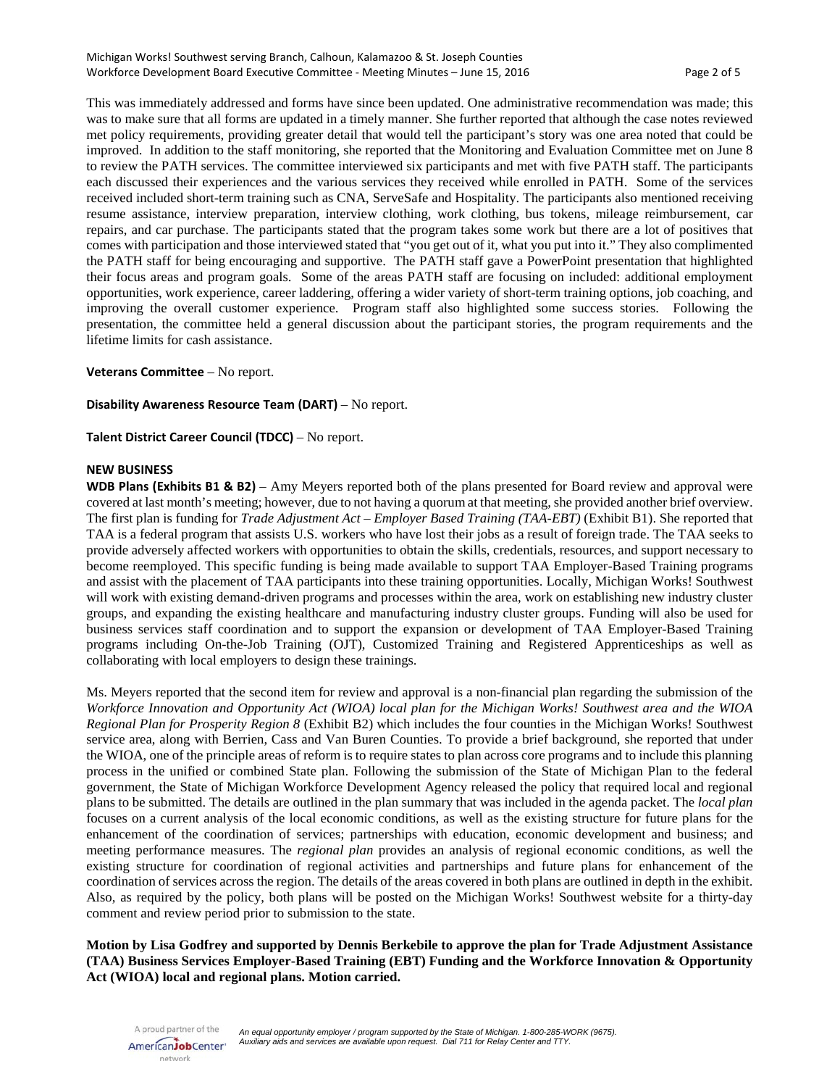This was immediately addressed and forms have since been updated. One administrative recommendation was made; this was to make sure that all forms are updated in a timely manner. She further reported that although the case notes reviewed met policy requirements, providing greater detail that would tell the participant's story was one area noted that could be improved. In addition to the staff monitoring, she reported that the Monitoring and Evaluation Committee met on June 8 to review the PATH services. The committee interviewed six participants and met with five PATH staff. The participants each discussed their experiences and the various services they received while enrolled in PATH. Some of the services received included short-term training such as CNA, ServeSafe and Hospitality. The participants also mentioned receiving resume assistance, interview preparation, interview clothing, work clothing, bus tokens, mileage reimbursement, car repairs, and car purchase. The participants stated that the program takes some work but there are a lot of positives that comes with participation and those interviewed stated that "you get out of it, what you put into it." They also complimented the PATH staff for being encouraging and supportive. The PATH staff gave a PowerPoint presentation that highlighted their focus areas and program goals. Some of the areas PATH staff are focusing on included: additional employment opportunities, work experience, career laddering, offering a wider variety of short-term training options, job coaching, and improving the overall customer experience. Program staff also highlighted some success stories. Following the presentation, the committee held a general discussion about the participant stories, the program requirements and the lifetime limits for cash assistance.

**Veterans Committee** – No report.

#### **Disability Awareness Resource Team (DART)** – No report.

**Talent District Career Council (TDCC)** – No report.

#### **NEW BUSINESS**

**WDB Plans (Exhibits B1 & B2)** – Amy Meyers reported both of the plans presented for Board review and approval were covered at last month's meeting; however, due to not having a quorum at that meeting, she provided another brief overview. The first plan is funding for *Trade Adjustment Act – Employer Based Training (TAA-EBT)* (Exhibit B1). She reported that TAA is a federal program that assists U.S. workers who have lost their jobs as a result of foreign trade. The TAA seeks to provide adversely affected workers with opportunities to obtain the skills, credentials, resources, and support necessary to become reemployed. This specific funding is being made available to support TAA Employer-Based Training programs and assist with the placement of TAA participants into these training opportunities. Locally, Michigan Works! Southwest will work with existing demand-driven programs and processes within the area, work on establishing new industry cluster groups, and expanding the existing healthcare and manufacturing industry cluster groups. Funding will also be used for business services staff coordination and to support the expansion or development of TAA Employer-Based Training programs including On-the-Job Training (OJT), Customized Training and Registered Apprenticeships as well as collaborating with local employers to design these trainings.

Ms. Meyers reported that the second item for review and approval is a non-financial plan regarding the submission of the *Workforce Innovation and Opportunity Act (WIOA) local plan for the Michigan Works! Southwest area and the WIOA Regional Plan for Prosperity Region 8* (Exhibit B2) which includes the four counties in the Michigan Works! Southwest service area, along with Berrien, Cass and Van Buren Counties. To provide a brief background, she reported that under the WIOA, one of the principle areas of reform is to require states to plan across core programs and to include this planning process in the unified or combined State plan. Following the submission of the State of Michigan Plan to the federal government, the State of Michigan Workforce Development Agency released the policy that required local and regional plans to be submitted. The details are outlined in the plan summary that was included in the agenda packet. The *local plan* focuses on a current analysis of the local economic conditions, as well as the existing structure for future plans for the enhancement of the coordination of services; partnerships with education, economic development and business; and meeting performance measures. The *regional plan* provides an analysis of regional economic conditions, as well the existing structure for coordination of regional activities and partnerships and future plans for enhancement of the coordination of services across the region. The details of the areas covered in both plans are outlined in depth in the exhibit. Also, as required by the policy, both plans will be posted on the Michigan Works! Southwest website for a thirty-day comment and review period prior to submission to the state.

**Motion by Lisa Godfrey and supported by Dennis Berkebile to approve the plan for Trade Adjustment Assistance (TAA) Business Services Employer-Based Training (EBT) Funding and the Workforce Innovation & Opportunity Act (WIOA) local and regional plans. Motion carried.**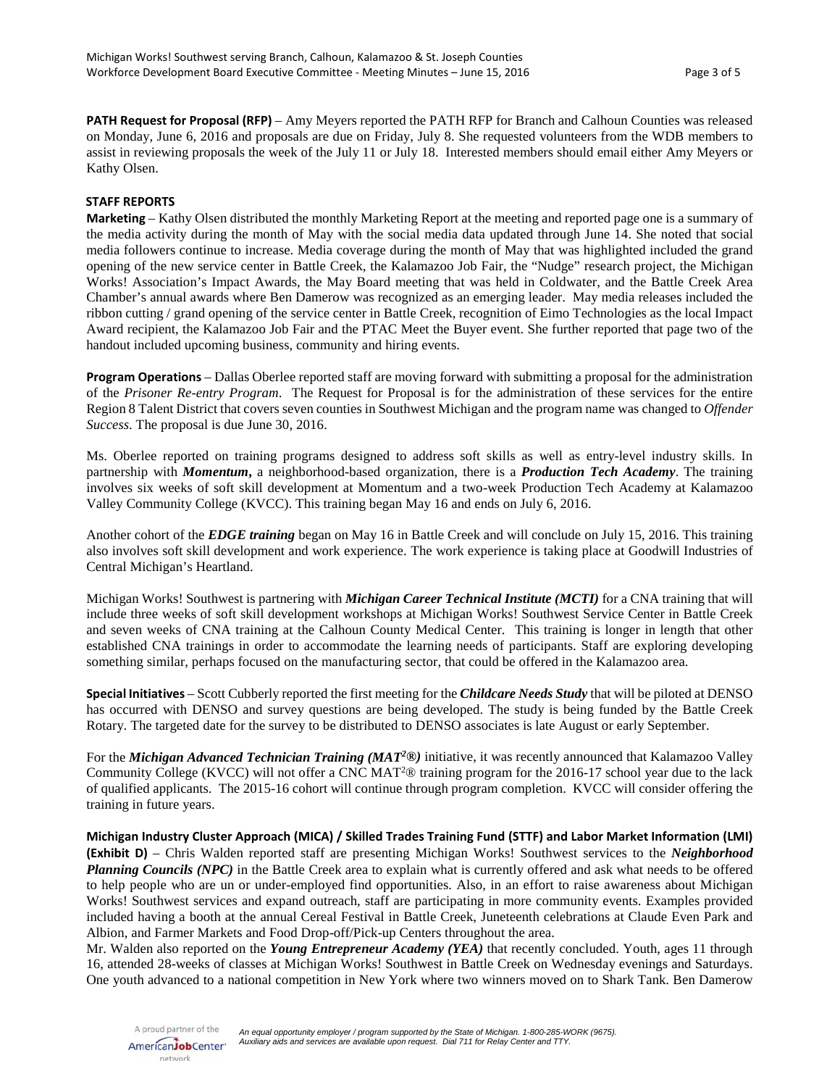**PATH Request for Proposal (RFP)** – Amy Meyers reported the PATH RFP for Branch and Calhoun Counties was released on Monday, June 6, 2016 and proposals are due on Friday, July 8. She requested volunteers from the WDB members to assist in reviewing proposals the week of the July 11 or July 18. Interested members should email either Amy Meyers or Kathy Olsen.

#### **STAFF REPORTS**

**Marketing** – Kathy Olsen distributed the monthly Marketing Report at the meeting and reported page one is a summary of the media activity during the month of May with the social media data updated through June 14. She noted that social media followers continue to increase. Media coverage during the month of May that was highlighted included the grand opening of the new service center in Battle Creek, the Kalamazoo Job Fair, the "Nudge" research project, the Michigan Works! Association's Impact Awards, the May Board meeting that was held in Coldwater, and the Battle Creek Area Chamber's annual awards where Ben Damerow was recognized as an emerging leader. May media releases included the ribbon cutting / grand opening of the service center in Battle Creek, recognition of Eimo Technologies as the local Impact Award recipient, the Kalamazoo Job Fair and the PTAC Meet the Buyer event. She further reported that page two of the handout included upcoming business, community and hiring events.

**Program Operations** – Dallas Oberlee reported staff are moving forward with submitting a proposal for the administration of the *Prisoner Re-entry Program*. The Request for Proposal is for the administration of these services for the entire Region 8 Talent District that covers seven counties in Southwest Michigan and the program name was changed to *Offender Success*. The proposal is due June 30, 2016.

Ms. Oberlee reported on training programs designed to address soft skills as well as entry-level industry skills. In partnership with *Momentum***,** a neighborhood-based organization, there is a *Production Tech Academy*. The training involves six weeks of soft skill development at Momentum and a two-week Production Tech Academy at Kalamazoo Valley Community College (KVCC). This training began May 16 and ends on July 6, 2016.

Another cohort of the *EDGE training* began on May 16 in Battle Creek and will conclude on July 15, 2016. This training also involves soft skill development and work experience. The work experience is taking place at Goodwill Industries of Central Michigan's Heartland.

Michigan Works! Southwest is partnering with *Michigan Career Technical Institute (MCTI)* for a CNA training that will include three weeks of soft skill development workshops at Michigan Works! Southwest Service Center in Battle Creek and seven weeks of CNA training at the Calhoun County Medical Center. This training is longer in length that other established CNA trainings in order to accommodate the learning needs of participants. Staff are exploring developing something similar, perhaps focused on the manufacturing sector, that could be offered in the Kalamazoo area.

**Special Initiatives** – Scott Cubberly reported the first meeting for the *Childcare Needs Study* that will be piloted at DENSO has occurred with DENSO and survey questions are being developed. The study is being funded by the Battle Creek Rotary. The targeted date for the survey to be distributed to DENSO associates is late August or early September.

For the *Michigan Advanced Technician Training (MAT2 ®)* initiative, it was recently announced that Kalamazoo Valley Community College (KVCC) will not offer a CNC MAT<sup>2</sup>® training program for the 2016-17 school year due to the lack of qualified applicants. The 2015-16 cohort will continue through program completion. KVCC will consider offering the training in future years.

**Michigan Industry Cluster Approach (MICA) / Skilled Trades Training Fund (STTF) and Labor Market Information (LMI) (Exhibit D)** – Chris Walden reported staff are presenting Michigan Works! Southwest services to the *Neighborhood Planning Councils (NPC)* in the Battle Creek area to explain what is currently offered and ask what needs to be offered to help people who are un or under-employed find opportunities. Also, in an effort to raise awareness about Michigan Works! Southwest services and expand outreach, staff are participating in more community events. Examples provided included having a booth at the annual Cereal Festival in Battle Creek, Juneteenth celebrations at Claude Even Park and Albion, and Farmer Markets and Food Drop-off/Pick-up Centers throughout the area.

Mr. Walden also reported on the *Young Entrepreneur Academy (YEA)* that recently concluded. Youth, ages 11 through 16, attended 28-weeks of classes at Michigan Works! Southwest in Battle Creek on Wednesday evenings and Saturdays. One youth advanced to a national competition in New York where two winners moved on to Shark Tank. Ben Damerow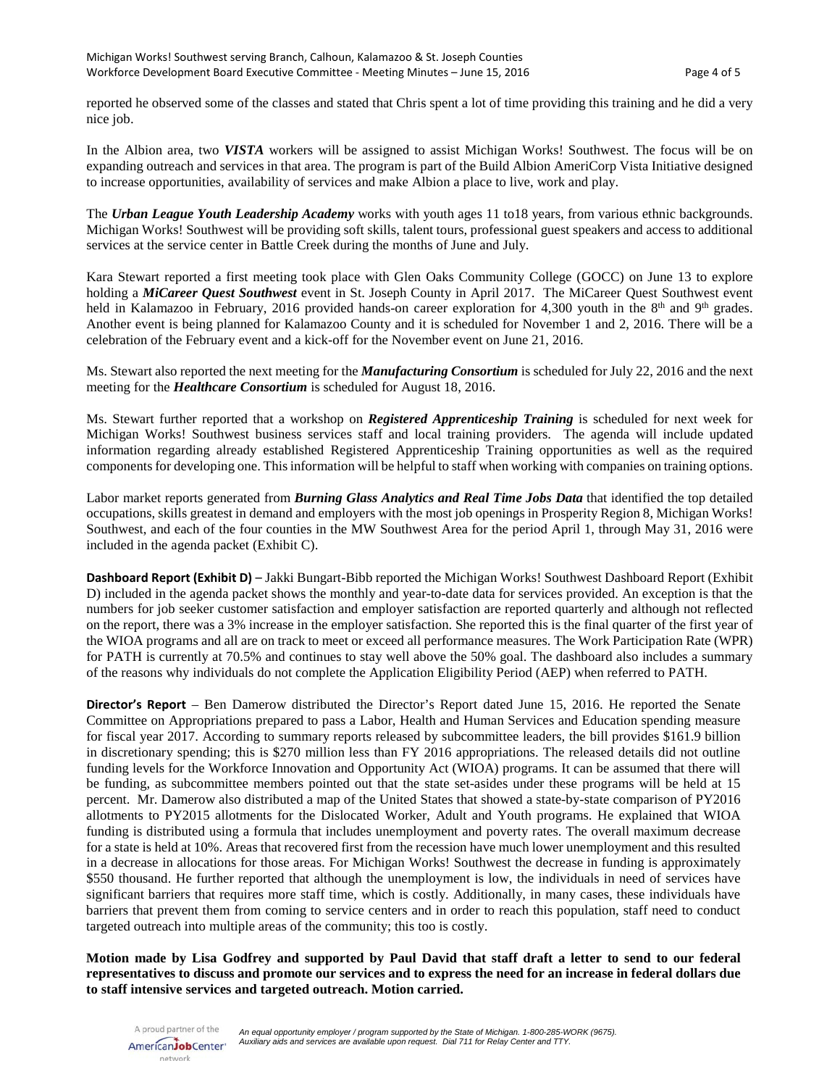reported he observed some of the classes and stated that Chris spent a lot of time providing this training and he did a very nice job.

In the Albion area, two *VISTA* workers will be assigned to assist Michigan Works! Southwest. The focus will be on expanding outreach and services in that area. The program is part of the Build Albion AmeriCorp Vista Initiative designed to increase opportunities, availability of services and make Albion a place to live, work and play.

The *Urban League Youth Leadership Academy* works with youth ages 11 to18 years, from various ethnic backgrounds. Michigan Works! Southwest will be providing soft skills, talent tours, professional guest speakers and access to additional services at the service center in Battle Creek during the months of June and July.

Kara Stewart reported a first meeting took place with Glen Oaks Community College (GOCC) on June 13 to explore holding a *MiCareer Quest Southwest* event in St. Joseph County in April 2017. The MiCareer Quest Southwest event held in Kalamazoo in February, 2016 provided hands-on career exploration for 4,300 youth in the 8<sup>th</sup> and 9<sup>th</sup> grades. Another event is being planned for Kalamazoo County and it is scheduled for November 1 and 2, 2016. There will be a celebration of the February event and a kick-off for the November event on June 21, 2016.

Ms. Stewart also reported the next meeting for the *Manufacturing Consortium* is scheduled for July 22, 2016 and the next meeting for the *Healthcare Consortium* is scheduled for August 18, 2016.

Ms. Stewart further reported that a workshop on *Registered Apprenticeship Training* is scheduled for next week for Michigan Works! Southwest business services staff and local training providers. The agenda will include updated information regarding already established Registered Apprenticeship Training opportunities as well as the required components for developing one. This information will be helpful to staff when working with companies on training options.

Labor market reports generated from *Burning Glass Analytics and Real Time Jobs Data* that identified the top detailed occupations, skills greatest in demand and employers with the most job openings in Prosperity Region 8, Michigan Works! Southwest, and each of the four counties in the MW Southwest Area for the period April 1, through May 31, 2016 were included in the agenda packet (Exhibit C).

**Dashboard Report (Exhibit D)** – Jakki Bungart-Bibb reported the Michigan Works! Southwest Dashboard Report (Exhibit D) included in the agenda packet shows the monthly and year-to-date data for services provided. An exception is that the numbers for job seeker customer satisfaction and employer satisfaction are reported quarterly and although not reflected on the report, there was a 3% increase in the employer satisfaction. She reported this is the final quarter of the first year of the WIOA programs and all are on track to meet or exceed all performance measures. The Work Participation Rate (WPR) for PATH is currently at 70.5% and continues to stay well above the 50% goal. The dashboard also includes a summary of the reasons why individuals do not complete the Application Eligibility Period (AEP) when referred to PATH.

**Director's Report** – Ben Damerow distributed the Director's Report dated June 15, 2016. He reported the Senate Committee on Appropriations prepared to pass a Labor, Health and Human Services and Education spending measure for fiscal year 2017. According to summary reports released by subcommittee leaders, the bill provides \$161.9 billion in discretionary spending; this is \$270 million less than FY 2016 appropriations. The released details did not outline funding levels for the Workforce Innovation and Opportunity Act (WIOA) programs. It can be assumed that there will be funding, as subcommittee members pointed out that the state set-asides under these programs will be held at 15 percent. Mr. Damerow also distributed a map of the United States that showed a state-by-state comparison of PY2016 allotments to PY2015 allotments for the Dislocated Worker, Adult and Youth programs. He explained that WIOA funding is distributed using a formula that includes unemployment and poverty rates. The overall maximum decrease for a state is held at 10%. Areas that recovered first from the recession have much lower unemployment and this resulted in a decrease in allocations for those areas. For Michigan Works! Southwest the decrease in funding is approximately \$550 thousand. He further reported that although the unemployment is low, the individuals in need of services have significant barriers that requires more staff time, which is costly. Additionally, in many cases, these individuals have barriers that prevent them from coming to service centers and in order to reach this population, staff need to conduct targeted outreach into multiple areas of the community; this too is costly.

**Motion made by Lisa Godfrey and supported by Paul David that staff draft a letter to send to our federal representatives to discuss and promote our services and to express the need for an increase in federal dollars due to staff intensive services and targeted outreach. Motion carried.**